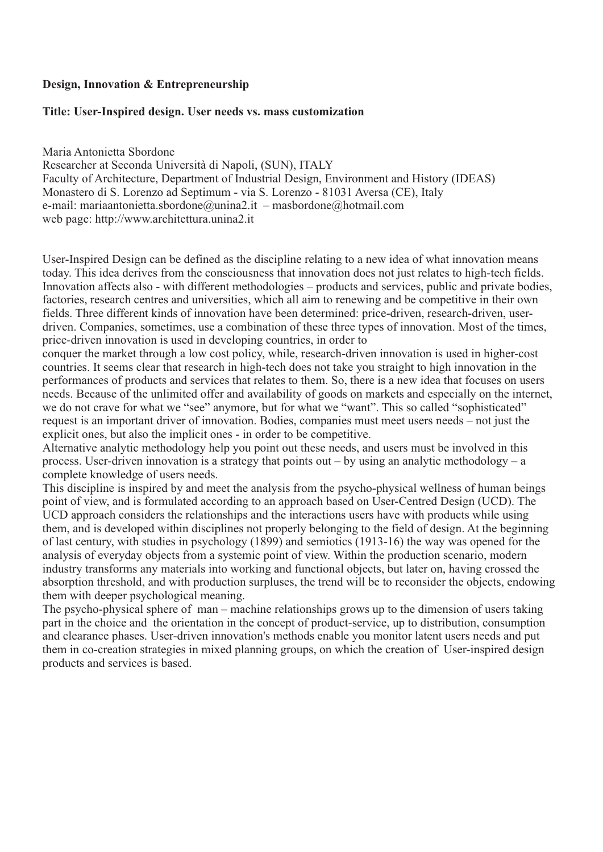## **Design, Innovation & Entrepreneurship**

# **Title: User-Inspired design. User needs vs. mass customization**

Maria Antonietta Sbordone

Researcher at Seconda Università di Napoli, (SUN), ITALY Faculty of Architecture, Department of Industrial Design, Environment and History (IDEAS) Monastero di S. Lorenzo ad Septimum - via S. Lorenzo - 81031 Aversa (CE), Italy e-mail: mariaantonietta.sbordone@unina2.it – masbordone@hotmail.com web page: http://www.architettura.unina2.it

User-Inspired Design can be defined as the discipline relating to a new idea of what innovation means today. This idea derives from the consciousness that innovation does not just relates to high-tech fields. Innovation affects also - with different methodologies – products and services, public and private bodies, factories, research centres and universities, which all aim to renewing and be competitive in their own fields. Three different kinds of innovation have been determined: price-driven, research-driven, userdriven. Companies, sometimes, use a combination of these three types of innovation. Most of the times, price-driven innovation is used in developing countries, in order to

conquer the market through a low cost policy, while, research-driven innovation is used in higher-cost countries. It seems clear that research in high-tech does not take you straight to high innovation in the performances of products and services that relates to them. So, there is a new idea that focuses on users needs. Because of the unlimited offer and availability of goods on markets and especially on the internet, we do not crave for what we "see" anymore, but for what we "want". This so called "sophisticated" request is an important driver of innovation. Bodies, companies must meet users needs – not just the explicit ones, but also the implicit ones - in order to be competitive.

Alternative analytic methodology help you point out these needs, and users must be involved in this process. User-driven innovation is a strategy that points out – by using an analytic methodology – a complete knowledge of users needs.

This discipline is inspired by and meet the analysis from the psycho-physical wellness of human beings point of view, and is formulated according to an approach based on User-Centred Design (UCD). The UCD approach considers the relationships and the interactions users have with products while using them, and is developed within disciplines not properly belonging to the field of design. At the beginning of last century, with studies in psychology (1899) and semiotics (1913-16) the way was opened for the analysis of everyday objects from a systemic point of view. Within the production scenario, modern industry transforms any materials into working and functional objects, but later on, having crossed the absorption threshold, and with production surpluses, the trend will be to reconsider the objects, endowing them with deeper psychological meaning.

The psycho-physical sphere of man – machine relationships grows up to the dimension of users taking part in the choice and the orientation in the concept of product-service, up to distribution, consumption and clearance phases. User-driven innovation's methods enable you monitor latent users needs and put them in co-creation strategies in mixed planning groups, on which the creation of User-inspired design products and services is based.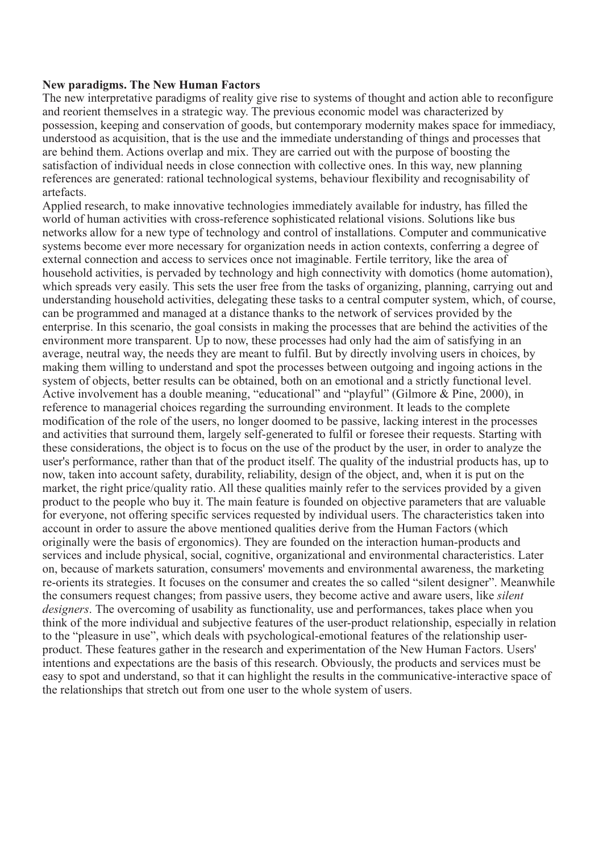#### **New paradigms. The New Human Factors**

The new interpretative paradigms of reality give rise to systems of thought and action able to reconfigure and reorient themselves in a strategic way. The previous economic model was characterized by possession, keeping and conservation of goods, but contemporary modernity makes space for immediacy, understood as acquisition, that is the use and the immediate understanding of things and processes that are behind them. Actions overlap and mix. They are carried out with the purpose of boosting the satisfaction of individual needs in close connection with collective ones. In this way, new planning references are generated: rational technological systems, behaviour flexibility and recognisability of artefacts.

Applied research, to make innovative technologies immediately available for industry, has filled the world of human activities with cross-reference sophisticated relational visions. Solutions like bus networks allow for a new type of technology and control of installations. Computer and communicative systems become ever more necessary for organization needs in action contexts, conferring a degree of external connection and access to services once not imaginable. Fertile territory, like the area of household activities, is pervaded by technology and high connectivity with domotics (home automation), which spreads very easily. This sets the user free from the tasks of organizing, planning, carrying out and understanding household activities, delegating these tasks to a central computer system, which, of course, can be programmed and managed at a distance thanks to the network of services provided by the enterprise. In this scenario, the goal consists in making the processes that are behind the activities of the environment more transparent. Up to now, these processes had only had the aim of satisfying in an average, neutral way, the needs they are meant to fulfil. But by directly involving users in choices, by making them willing to understand and spot the processes between outgoing and ingoing actions in the system of objects, better results can be obtained, both on an emotional and a strictly functional level. Active involvement has a double meaning, "educational" and "playful" (Gilmore & Pine, 2000), in reference to managerial choices regarding the surrounding environment. It leads to the complete modification of the role of the users, no longer doomed to be passive, lacking interest in the processes and activities that surround them, largely self-generated to fulfil or foresee their requests. Starting with these considerations, the object is to focus on the use of the product by the user, in order to analyze the user's performance, rather than that of the product itself. The quality of the industrial products has, up to now, taken into account safety, durability, reliability, design of the object, and, when it is put on the market, the right price/quality ratio. All these qualities mainly refer to the services provided by a given product to the people who buy it. The main feature is founded on objective parameters that are valuable for everyone, not offering specific services requested by individual users. The characteristics taken into account in order to assure the above mentioned qualities derive from the Human Factors (which originally were the basis of ergonomics). They are founded on the interaction human-products and services and include physical, social, cognitive, organizational and environmental characteristics. Later on, because of markets saturation, consumers' movements and environmental awareness, the marketing re-orients its strategies. It focuses on the consumer and creates the so called "silent designer". Meanwhile the consumers request changes; from passive users, they become active and aware users, like *silent designers*. The overcoming of usability as functionality, use and performances, takes place when you think of the more individual and subjective features of the user-product relationship, especially in relation to the "pleasure in use", which deals with psychological-emotional features of the relationship userproduct. These features gather in the research and experimentation of the New Human Factors. Users' intentions and expectations are the basis of this research. Obviously, the products and services must be easy to spot and understand, so that it can highlight the results in the communicative-interactive space of the relationships that stretch out from one user to the whole system of users.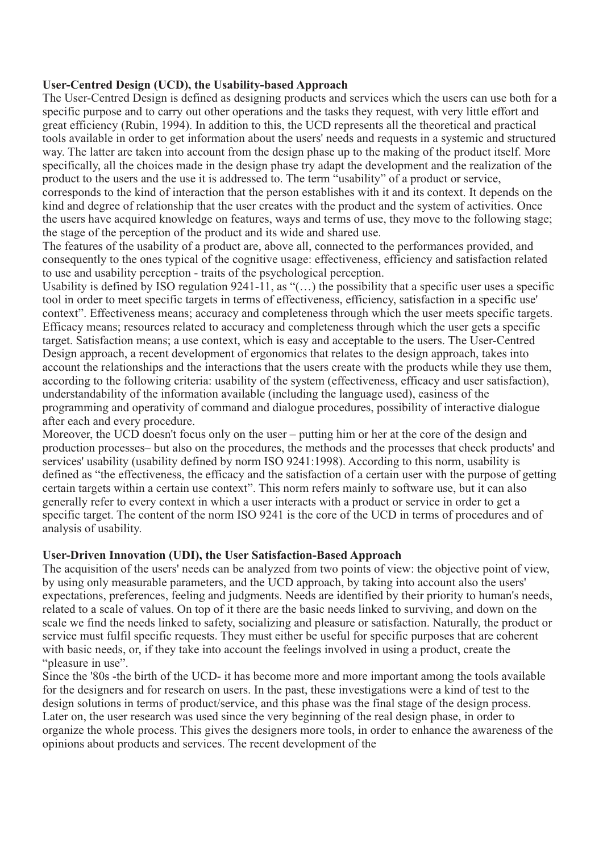## **User-Centred Design (UCD), the Usability-based Approach**

The User-Centred Design is defined as designing products and services which the users can use both for a specific purpose and to carry out other operations and the tasks they request, with very little effort and great efficiency (Rubin, 1994). In addition to this, the UCD represents all the theoretical and practical tools available in order to get information about the users' needs and requests in a systemic and structured way. The latter are taken into account from the design phase up to the making of the product itself. More specifically, all the choices made in the design phase try adapt the development and the realization of the product to the users and the use it is addressed to. The term "usability" of a product or service, corresponds to the kind of interaction that the person establishes with it and its context. It depends on the kind and degree of relationship that the user creates with the product and the system of activities. Once the users have acquired knowledge on features, ways and terms of use, they move to the following stage; the stage of the perception of the product and its wide and shared use.

The features of the usability of a product are, above all, connected to the performances provided, and consequently to the ones typical of the cognitive usage: effectiveness, efficiency and satisfaction related to use and usability perception - traits of the psychological perception.

Usability is defined by ISO regulation 9241-11, as "(…) the possibility that a specific user uses a specific tool in order to meet specific targets in terms of effectiveness, efficiency, satisfaction in a specific use' context". Effectiveness means; accuracy and completeness through which the user meets specific targets. Efficacy means; resources related to accuracy and completeness through which the user gets a specific target. Satisfaction means; a use context, which is easy and acceptable to the users. The User-Centred Design approach, a recent development of ergonomics that relates to the design approach, takes into account the relationships and the interactions that the users create with the products while they use them, according to the following criteria: usability of the system (effectiveness, efficacy and user satisfaction), understandability of the information available (including the language used), easiness of the programming and operativity of command and dialogue procedures, possibility of interactive dialogue after each and every procedure.

Moreover, the UCD doesn't focus only on the user – putting him or her at the core of the design and production processes– but also on the procedures, the methods and the processes that check products' and services' usability (usability defined by norm ISO 9241:1998). According to this norm, usability is defined as "the effectiveness, the efficacy and the satisfaction of a certain user with the purpose of getting certain targets within a certain use context". This norm refers mainly to software use, but it can also generally refer to every context in which a user interacts with a product or service in order to get a specific target. The content of the norm ISO 9241 is the core of the UCD in terms of procedures and of analysis of usability.

## **User-Driven Innovation (UDI), the User Satisfaction-Based Approach**

The acquisition of the users' needs can be analyzed from two points of view: the objective point of view, by using only measurable parameters, and the UCD approach, by taking into account also the users' expectations, preferences, feeling and judgments. Needs are identified by their priority to human's needs, related to a scale of values. On top of it there are the basic needs linked to surviving, and down on the scale we find the needs linked to safety, socializing and pleasure or satisfaction. Naturally, the product or service must fulfil specific requests. They must either be useful for specific purposes that are coherent with basic needs, or, if they take into account the feelings involved in using a product, create the "pleasure in use".

Since the '80s -the birth of the UCD- it has become more and more important among the tools available for the designers and for research on users. In the past, these investigations were a kind of test to the design solutions in terms of product/service, and this phase was the final stage of the design process. Later on, the user research was used since the very beginning of the real design phase, in order to organize the whole process. This gives the designers more tools, in order to enhance the awareness of the opinions about products and services. The recent development of the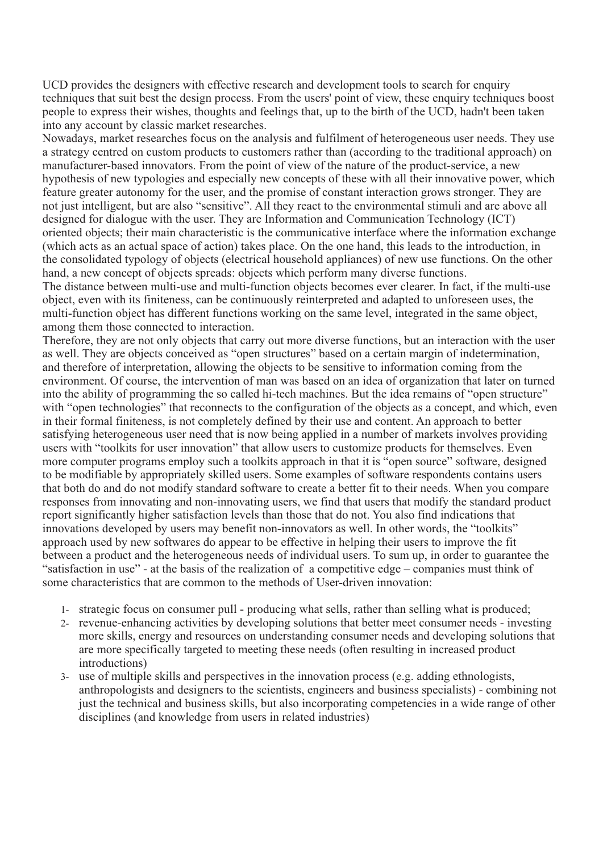UCD provides the designers with effective research and development tools to search for enquiry techniques that suit best the design process. From the users' point of view, these enquiry techniques boost people to express their wishes, thoughts and feelings that, up to the birth of the UCD, hadn't been taken into any account by classic market researches.

Nowadays, market researches focus on the analysis and fulfilment of heterogeneous user needs. They use a strategy centred on custom products to customers rather than (according to the traditional approach) on manufacturer-based innovators. From the point of view of the nature of the product-service, a new hypothesis of new typologies and especially new concepts of these with all their innovative power, which feature greater autonomy for the user, and the promise of constant interaction grows stronger. They are not just intelligent, but are also "sensitive". All they react to the environmental stimuli and are above all designed for dialogue with the user. They are Information and Communication Technology (ICT) oriented objects; their main characteristic is the communicative interface where the information exchange (which acts as an actual space of action) takes place. On the one hand, this leads to the introduction, in the consolidated typology of objects (electrical household appliances) of new use functions. On the other hand, a new concept of objects spreads: objects which perform many diverse functions. The distance between multi-use and multi-function objects becomes ever clearer. In fact, if the multi-use object, even with its finiteness, can be continuously reinterpreted and adapted to unforeseen uses, the multi-function object has different functions working on the same level, integrated in the same object, among them those connected to interaction.

Therefore, they are not only objects that carry out more diverse functions, but an interaction with the user as well. They are objects conceived as "open structures" based on a certain margin of indetermination, and therefore of interpretation, allowing the objects to be sensitive to information coming from the environment. Of course, the intervention of man was based on an idea of organization that later on turned into the ability of programming the so called hi-tech machines. But the idea remains of "open structure" with "open technologies" that reconnects to the configuration of the objects as a concept, and which, even in their formal finiteness, is not completely defined by their use and content. An approach to better satisfying heterogeneous user need that is now being applied in a number of markets involves providing users with "toolkits for user innovation" that allow users to customize products for themselves. Even more computer programs employ such a toolkits approach in that it is "open source" software, designed to be modifiable by appropriately skilled users. Some examples of software respondents contains users that both do and do not modify standard software to create a better fit to their needs. When you compare responses from innovating and non-innovating users, we find that users that modify the standard product report significantly higher satisfaction levels than those that do not. You also find indications that innovations developed by users may benefit non-innovators as well. In other words, the "toolkits" approach used by new softwares do appear to be effective in helping their users to improve the fit between a product and the heterogeneous needs of individual users. To sum up, in order to guarantee the "satisfaction in use" - at the basis of the realization of a competitive edge – companies must think of some characteristics that are common to the methods of User-driven innovation:

- 1- strategic focus on consumer pull producing what sells, rather than selling what is produced;
- 2- revenue-enhancing activities by developing solutions that better meet consumer needs investing more skills, energy and resources on understanding consumer needs and developing solutions that are more specifically targeted to meeting these needs (often resulting in increased product introductions)
- 3- use of multiple skills and perspectives in the innovation process (e.g. adding ethnologists, anthropologists and designers to the scientists, engineers and business specialists) - combining not just the technical and business skills, but also incorporating competencies in a wide range of other disciplines (and knowledge from users in related industries)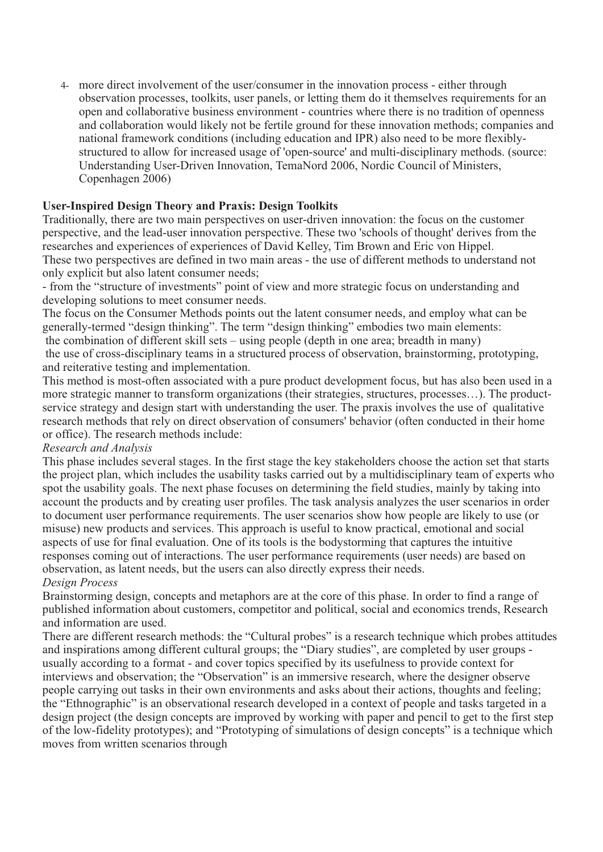4- more direct involvement of the user/consumer in the innovation process - either through observation processes, toolkits, user panels, or letting them do it themselves requirements for an open and collaborative business environment - countries where there is no tradition of openness and collaboration would likely not be fertile ground for these innovation methods; companies and national framework conditions (including education and IPR) also need to be more flexiblystructured to allow for increased usage of 'open-source' and multi-disciplinary methods. (source: Understanding User-Driven Innovation, TemaNord 2006, Nordic Council of Ministers, Copenhagen 2006)

## **User-Inspired Design Theory and Praxis: Design Toolkits**

Traditionally, there are two main perspectives on user-driven innovation: the focus on the customer perspective, and the lead-user innovation perspective. These two 'schools of thought' derives from the researches and experiences of experiences of David Kelley, Tim Brown and Eric von Hippel. These two perspectives are defined in two main areas - the use of different methods to understand not only explicit but also latent consumer needs;

- from the "structure of investments" point of view and more strategic focus on understanding and developing solutions to meet consumer needs.

The focus on the Consumer Methods points out the latent consumer needs, and employ what can be generally-termed "design thinking". The term "design thinking" embodies two main elements: the combination of different skill sets – using people (depth in one area; breadth in many) the use of cross-disciplinary teams in a structured process of observation, brainstorming, prototyping, and reiterative testing and implementation.

This method is most-often associated with a pure product development focus, but has also been used in a more strategic manner to transform organizations (their strategies, structures, processes…). The productservice strategy and design start with understanding the user. The praxis involves the use of qualitative research methods that rely on direct observation of consumers' behavior (often conducted in their home or office). The research methods include:

### *Research and Analysis*

This phase includes several stages. In the first stage the key stakeholders choose the action set that starts the project plan, which includes the usability tasks carried out by a multidisciplinary team of experts who spot the usability goals. The next phase focuses on determining the field studies, mainly by taking into account the products and by creating user profiles. The task analysis analyzes the user scenarios in order to document user performance requirements. The user scenarios show how people are likely to use (or misuse) new products and services. This approach is useful to know practical, emotional and social aspects of use for final evaluation. One of its tools is the bodystorming that captures the intuitive responses coming out of interactions. The user performance requirements (user needs) are based on observation, as latent needs, but the users can also directly express their needs.

### *Design Process*

Brainstorming design, concepts and metaphors are at the core of this phase. In order to find a range of published information about customers, competitor and political, social and economics trends, Research and information are used.

There are different research methods: the "Cultural probes" is a research technique which probes attitudes and inspirations among different cultural groups; the "Diary studies", are completed by user groups usually according to a format - and cover topics specified by its usefulness to provide context for interviews and observation; the "Observation" is an immersive research, where the designer observe people carrying out tasks in their own environments and asks about their actions, thoughts and feeling; the "Ethnographic" is an observational research developed in a context of people and tasks targeted in a design project (the design concepts are improved by working with paper and pencil to get to the first step of the low-fidelity prototypes); and "Prototyping of simulations of design concepts" is a technique which moves from written scenarios through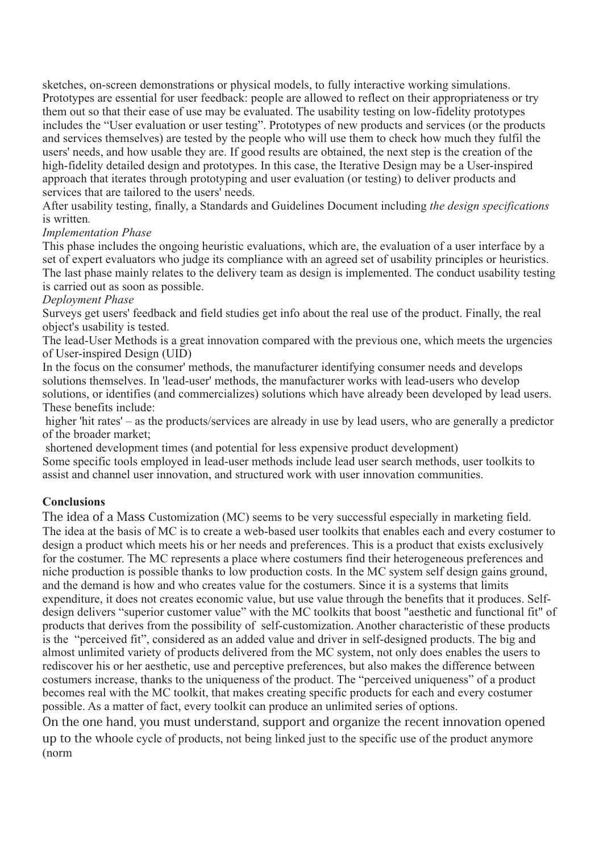sketches, on-screen demonstrations or physical models, to fully interactive working simulations. Prototypes are essential for user feedback: people are allowed to reflect on their appropriateness or try them out so that their ease of use may be evaluated. The usability testing on low-fidelity prototypes includes the "User evaluation or user testing". Prototypes of new products and services (or the products and services themselves) are tested by the people who will use them to check how much they fulfil the users' needs, and how usable they are. If good results are obtained, the next step is the creation of the high-fidelity detailed design and prototypes. In this case, the Iterative Design may be a User-inspired approach that iterates through prototyping and user evaluation (or testing) to deliver products and services that are tailored to the users' needs.

After usability testing, finally, a Standards and Guidelines Document including *the design specifications*  is written*.*

## *Implementation Phase*

This phase includes the ongoing heuristic evaluations, which are, the evaluation of a user interface by a set of expert evaluators who judge its compliance with an agreed set of usability principles or heuristics. The last phase mainly relates to the delivery team as design is implemented. The conduct usability testing is carried out as soon as possible.

## *Deployment Phase*

Surveys get users' feedback and field studies get info about the real use of the product. Finally, the real object's usability is tested.

The lead-User Methods is a great innovation compared with the previous one, which meets the urgencies of User-inspired Design (UID)

In the focus on the consumer' methods, the manufacturer identifying consumer needs and develops solutions themselves. In 'lead-user' methods, the manufacturer works with lead-users who develop solutions, or identifies (and commercializes) solutions which have already been developed by lead users. These benefits include:

higher 'hit rates' – as the products/services are already in use by lead users, who are generally a predictor of the broader market;

 shortened development times (and potential for less expensive product development) Some specific tools employed in lead-user methods include lead user search methods, user toolkits to assist and channel user innovation, and structured work with user innovation communities.

## **Conclusions**

The idea of a Mass Customization (MC) seems to be very successful especially in marketing field. The idea at the basis of MC is to create a web-based user toolkits that enables each and every costumer to design a product which meets his or her needs and preferences. This is a product that exists exclusively for the costumer. The MC represents a place where costumers find their heterogeneous preferences and niche production is possible thanks to low production costs. In the MC system self design gains ground, and the demand is how and who creates value for the costumers. Since it is a systems that limits expenditure, it does not creates economic value, but use value through the benefits that it produces. Selfdesign delivers "superior customer value" with the MC toolkits that boost "aesthetic and functional fit" of products that derives from the possibility of self-customization. Another characteristic of these products is the "perceived fit", considered as an added value and driver in self-designed products. The big and almost unlimited variety of products delivered from the MC system, not only does enables the users to rediscover his or her aesthetic, use and perceptive preferences, but also makes the difference between costumers increase, thanks to the uniqueness of the product. The "perceived uniqueness" of a product becomes real with the MC toolkit, that makes creating specific products for each and every costumer possible. As a matter of fact, every toolkit can produce an unlimited series of options.

On the one hand, you must understand, support and organize the recent innovation opened up to the whoole cycle of products, not being linked just to the specific use of the product anymore (norm